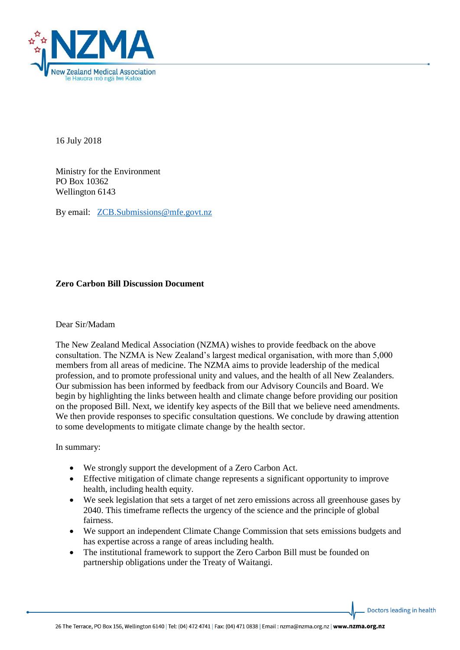

16 July 2018

Ministry for the Environment PO Box 10362 Wellington 6143

By email: [ZCB.Submissions@mfe.govt.nz](mailto:ZCB.Submissions@mfe.govt.nz)

## **Zero Carbon Bill Discussion Document**

#### Dear Sir/Madam

The New Zealand Medical Association (NZMA) wishes to provide feedback on the above consultation. The NZMA is New Zealand's largest medical organisation, with more than 5,000 members from all areas of medicine. The NZMA aims to provide leadership of the medical profession, and to promote professional unity and values, and the health of all New Zealanders. Our submission has been informed by feedback from our Advisory Councils and Board. We begin by highlighting the links between health and climate change before providing our position on the proposed Bill. Next, we identify key aspects of the Bill that we believe need amendments. We then provide responses to specific consultation questions. We conclude by drawing attention to some developments to mitigate climate change by the health sector.

In summary:

- We strongly support the development of a Zero Carbon Act.
- Effective mitigation of climate change represents a significant opportunity to improve health, including health equity.
- We seek legislation that sets a target of net zero emissions across all greenhouse gases by 2040. This timeframe reflects the urgency of the science and the principle of global fairness.
- We support an independent Climate Change Commission that sets emissions budgets and has expertise across a range of areas including health.
- The institutional framework to support the Zero Carbon Bill must be founded on partnership obligations under the Treaty of Waitangi.

Doctors leading in health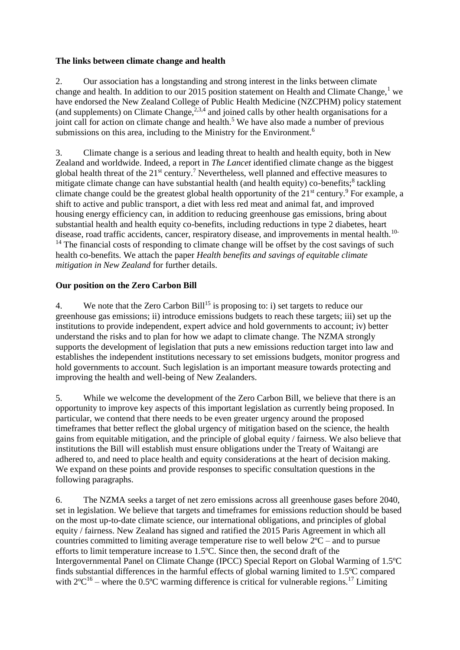#### **The links between climate change and health**

2. Our association has a longstanding and strong interest in the links between climate change and health. In addition to our 2015 position statement on Health and Climate Change,<sup>1</sup> we have endorsed the New Zealand College of Public Health Medicine (NZCPHM) policy statement (and supplements) on Climate Change,  $2,3,4$  and joined calls by other health organisations for a joint call for action on climate change and health.<sup>5</sup> We have also made a number of previous submissions on this area, including to the Ministry for the Environment.<sup>6</sup>

3. Climate change is a serious and leading threat to health and health equity, both in New Zealand and worldwide. Indeed, a report in *The Lancet* identified climate change as the biggest global health threat of the  $21<sup>st</sup>$  century.<sup>7</sup> Nevertheless, well planned and effective measures to mitigate climate change can have substantial health (and health equity) co-benefits;<sup>8</sup> tackling climate change could be the greatest global health opportunity of the  $21<sup>st</sup>$  century.<sup>9</sup> For example, a shift to active and public transport, a diet with less red meat and animal fat, and improved housing energy efficiency can, in addition to reducing greenhouse gas emissions, bring about substantial health and health equity co-benefits, including reductions in type 2 diabetes, heart disease, road traffic accidents, cancer, respiratory disease, and improvements in mental health.<sup>10-</sup>  $14$  The financial costs of responding to climate change will be offset by the cost savings of such health co-benefits. We attach the paper *Health benefits and savings of equitable climate mitigation in New Zealand* for further details.

## **Our position on the Zero Carbon Bill**

4. We note that the Zero Carbon Bill<sup>15</sup> is proposing to: i) set targets to reduce our greenhouse gas emissions; ii) introduce emissions budgets to reach these targets; iii) set up the institutions to provide independent, expert advice and hold governments to account; iv) better understand the risks and to plan for how we adapt to climate change. The NZMA strongly supports the development of legislation that puts a new emissions reduction target into law and establishes the independent institutions necessary to set emissions budgets, monitor progress and hold governments to account. Such legislation is an important measure towards protecting and improving the health and well-being of New Zealanders.

5. While we welcome the development of the Zero Carbon Bill, we believe that there is an opportunity to improve key aspects of this important legislation as currently being proposed. In particular, we contend that there needs to be even greater urgency around the proposed timeframes that better reflect the global urgency of mitigation based on the science, the health gains from equitable mitigation, and the principle of global equity / fairness. We also believe that institutions the Bill will establish must ensure obligations under the Treaty of Waitangi are adhered to, and need to place health and equity considerations at the heart of decision making. We expand on these points and provide responses to specific consultation questions in the following paragraphs.

6. The NZMA seeks a target of net zero emissions across all greenhouse gases before 2040, set in legislation. We believe that targets and timeframes for emissions reduction should be based on the most up-to-date climate science, our international obligations, and principles of global equity / fairness. New Zealand has signed and ratified the 2015 Paris Agreement in which all countries committed to limiting average temperature rise to well below 2ºC – and to pursue efforts to limit temperature increase to 1.5ºC. Since then, the second draft of the Intergovernmental Panel on Climate Change (IPCC) Special Report on Global Warming of 1.5ºC finds substantial differences in the harmful effects of global warning limited to 1.5ºC compared with  $2^{\circ}C^{16}$  – where the 0.5°C warming difference is critical for vulnerable regions.<sup>17</sup> Limiting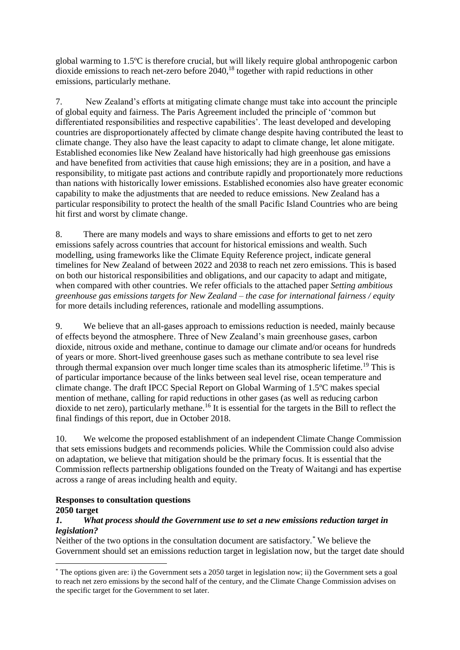global warming to 1.5ºC is therefore crucial, but will likely require global anthropogenic carbon  $dioxide$  emissions to reach net-zero before 2040,<sup>18</sup> together with rapid reductions in other emissions, particularly methane.

7. New Zealand's efforts at mitigating climate change must take into account the principle of global equity and fairness. The Paris Agreement included the principle of 'common but differentiated responsibilities and respective capabilities'. The least developed and developing countries are disproportionately affected by climate change despite having contributed the least to climate change. They also have the least capacity to adapt to climate change, let alone mitigate. Established economies like New Zealand have historically had high greenhouse gas emissions and have benefited from activities that cause high emissions; they are in a position, and have a responsibility, to mitigate past actions and contribute rapidly and proportionately more reductions than nations with historically lower emissions. Established economies also have greater economic capability to make the adjustments that are needed to reduce emissions. New Zealand has a particular responsibility to protect the health of the small Pacific Island Countries who are being hit first and worst by climate change.

8. There are many models and ways to share emissions and efforts to get to net zero emissions safely across countries that account for historical emissions and wealth. Such modelling, using frameworks like the Climate Equity Reference project, indicate general timelines for New Zealand of between 2022 and 2038 to reach net zero emissions. This is based on both our historical responsibilities and obligations, and our capacity to adapt and mitigate, when compared with other countries. We refer officials to the attached paper *Setting ambitious greenhouse gas emissions targets for New Zealand – the case for international fairness / equity* for more details including references, rationale and modelling assumptions.

9. We believe that an all-gases approach to emissions reduction is needed, mainly because of effects beyond the atmosphere. Three of New Zealand's main greenhouse gases, carbon dioxide, nitrous oxide and methane, continue to damage our climate and/or oceans for hundreds of years or more. Short-lived greenhouse gases such as methane contribute to sea level rise through thermal expansion over much longer time scales than its atmospheric lifetime.<sup>19</sup> This is of particular importance because of the links between seal level rise, ocean temperature and climate change. The draft IPCC Special Report on Global Warming of 1.5ºC makes special mention of methane, calling for rapid reductions in other gases (as well as reducing carbon dioxide to net zero), particularly methane.<sup>16</sup> It is essential for the targets in the Bill to reflect the final findings of this report, due in October 2018.

10. We welcome the proposed establishment of an independent Climate Change Commission that sets emissions budgets and recommends policies. While the Commission could also advise on adaptation, we believe that mitigation should be the primary focus. It is essential that the Commission reflects partnership obligations founded on the Treaty of Waitangi and has expertise across a range of areas including health and equity.

# **Responses to consultation questions**

# **2050 target**

 $\overline{\phantom{a}}$ 

#### *1. What process should the Government use to set a new emissions reduction target in legislation?*

Neither of the two options in the consultation document are satisfactory.\* We believe the Government should set an emissions reduction target in legislation now, but the target date should

<sup>\*</sup> The options given are: i) the Government sets a 2050 target in legislation now; ii) the Government sets a goal to reach net zero emissions by the second half of the century, and the Climate Change Commission advises on the specific target for the Government to set later.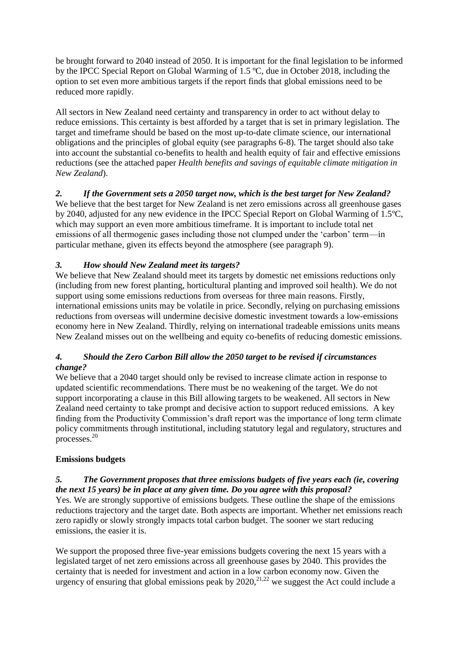be brought forward to 2040 instead of 2050. It is important for the final legislation to be informed by the IPCC Special Report on Global Warming of 1.5 ºC, due in October 2018, including the option to set even more ambitious targets if the report finds that global emissions need to be reduced more rapidly.

All sectors in New Zealand need certainty and transparency in order to act without delay to reduce emissions. This certainty is best afforded by a target that is set in primary legislation. The target and timeframe should be based on the most up-to-date climate science, our international obligations and the principles of global equity (see paragraphs 6-8). The target should also take into account the substantial co-benefits to health and health equity of fair and effective emissions reductions (see the attached paper *Health benefits and savings of equitable climate mitigation in New Zealand*).

# *2. If the Government sets a 2050 target now, which is the best target for New Zealand?*

We believe that the best target for New Zealand is net zero emissions across all greenhouse gases by 2040, adjusted for any new evidence in the IPCC Special Report on Global Warming of 1.5ºC, which may support an even more ambitious timeframe. It is important to include total net emissions of all thermogenic gases including those not clumped under the 'carbon' term—in particular methane, given its effects beyond the atmosphere (see paragraph 9).

# *3. How should New Zealand meet its targets?*

We believe that New Zealand should meet its targets by domestic net emissions reductions only (including from new forest planting, horticultural planting and improved soil health). We do not support using some emissions reductions from overseas for three main reasons. Firstly, international emissions units may be volatile in price. Secondly, relying on purchasing emissions reductions from overseas will undermine decisive domestic investment towards a low-emissions economy here in New Zealand. Thirdly, relying on international tradeable emissions units means New Zealand misses out on the wellbeing and equity co-benefits of reducing domestic emissions.

#### *4. Should the Zero Carbon Bill allow the 2050 target to be revised if circumstances change?*

We believe that a 2040 target should only be revised to increase climate action in response to updated scientific recommendations. There must be no weakening of the target. We do not support incorporating a clause in this Bill allowing targets to be weakened. All sectors in New Zealand need certainty to take prompt and decisive action to support reduced emissions. A key finding from the Productivity Commission's draft report was the importance of long term climate policy commitments through institutional, including statutory legal and regulatory, structures and processes.<sup>20</sup>

## **Emissions budgets**

## *5. The Government proposes that three emissions budgets of five years each (ie, covering the next 15 years) be in place at any given time. Do you agree with this proposal?*

Yes. We are strongly supportive of emissions budgets. These outline the shape of the emissions reductions trajectory and the target date. Both aspects are important. Whether net emissions reach zero rapidly or slowly strongly impacts total carbon budget. The sooner we start reducing emissions, the easier it is.

We support the proposed three five-year emissions budgets covering the next 15 years with a legislated target of net zero emissions across all greenhouse gases by 2040. This provides the certainty that is needed for investment and action in a low carbon economy now. Given the urgency of ensuring that global emissions peak by  $2020$ ,<sup>21,22</sup> we suggest the Act could include a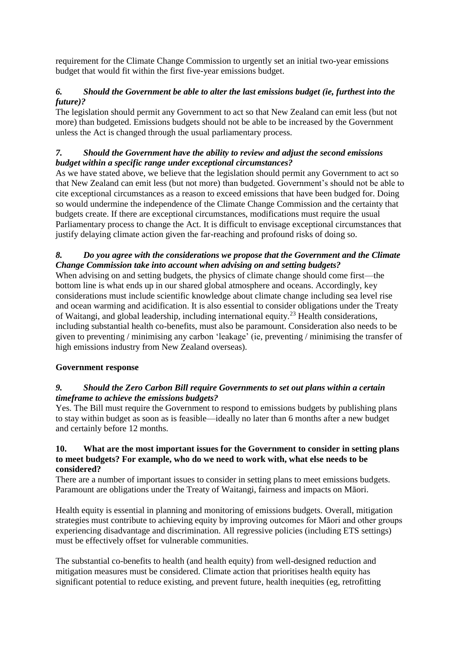requirement for the Climate Change Commission to urgently set an initial two-year emissions budget that would fit within the first five-year emissions budget.

# *6. Should the Government be able to alter the last emissions budget (ie, furthest into the future)?*

The legislation should permit any Government to act so that New Zealand can emit less (but not more) than budgeted. Emissions budgets should not be able to be increased by the Government unless the Act is changed through the usual parliamentary process.

## *7. Should the Government have the ability to review and adjust the second emissions budget within a specific range under exceptional circumstances?*

As we have stated above, we believe that the legislation should permit any Government to act so that New Zealand can emit less (but not more) than budgeted. Government's should not be able to cite exceptional circumstances as a reason to exceed emissions that have been budged for. Doing so would undermine the independence of the Climate Change Commission and the certainty that budgets create. If there are exceptional circumstances, modifications must require the usual Parliamentary process to change the Act. It is difficult to envisage exceptional circumstances that justify delaying climate action given the far-reaching and profound risks of doing so.

## *8. Do you agree with the considerations we propose that the Government and the Climate Change Commission take into account when advising on and setting budgets?*

When advising on and setting budgets, the physics of climate change should come first—the bottom line is what ends up in our shared global atmosphere and oceans. Accordingly, key considerations must include scientific knowledge about climate change including sea level rise and ocean warming and acidification. It is also essential to consider obligations under the Treaty of Waitangi, and global leadership, including international equity.<sup>23</sup> Health considerations, including substantial health co-benefits, must also be paramount. Consideration also needs to be given to preventing / minimising any carbon 'leakage' (ie, preventing / minimising the transfer of high emissions industry from New Zealand overseas).

## **Government response**

## *9. Should the Zero Carbon Bill require Governments to set out plans within a certain timeframe to achieve the emissions budgets?*

Yes. The Bill must require the Government to respond to emissions budgets by publishing plans to stay within budget as soon as is feasible—ideally no later than 6 months after a new budget and certainly before 12 months.

#### **10. What are the most important issues for the Government to consider in setting plans to meet budgets? For example, who do we need to work with, what else needs to be considered?**

There are a number of important issues to consider in setting plans to meet emissions budgets. Paramount are obligations under the Treaty of Waitangi, fairness and impacts on Māori.

Health equity is essential in planning and monitoring of emissions budgets. Overall, mitigation strategies must contribute to achieving equity by improving outcomes for Māori and other groups experiencing disadvantage and discrimination. All regressive policies (including ETS settings) must be effectively offset for vulnerable communities.

The substantial co-benefits to health (and health equity) from well-designed reduction and mitigation measures must be considered. Climate action that prioritises health equity has significant potential to reduce existing, and prevent future, health inequities (eg, retrofitting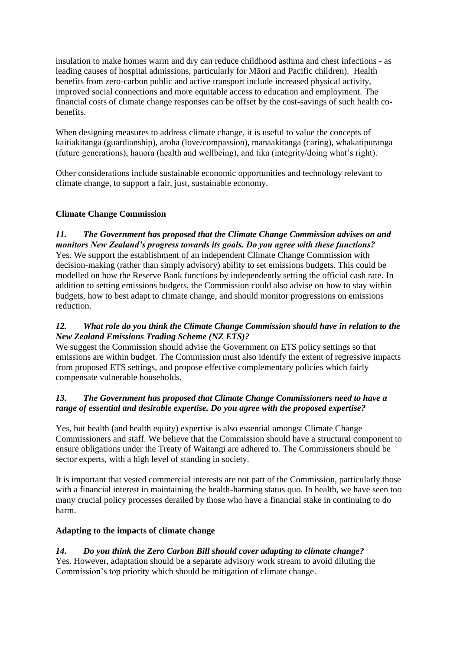insulation to make homes warm and dry can reduce childhood asthma and chest infections - as leading causes of hospital admissions, particularly for Māori and Pacific children). Health benefits from zero-carbon public and active transport include increased physical activity, improved social connections and more equitable access to education and employment. The financial costs of climate change responses can be offset by the cost-savings of such health cobenefits.

When designing measures to address climate change, it is useful to value the concepts of kaitiakitanga (guardianship), aroha (love/compassion), manaakitanga (caring), whakatipuranga (future generations), hauora (health and wellbeing), and tika (integrity/doing what's right).

Other considerations include sustainable economic opportunities and technology relevant to climate change, to support a fair, just, sustainable economy.

# **Climate Change Commission**

*11. The Government has proposed that the Climate Change Commission advises on and monitors New Zealand's progress towards its goals. Do you agree with these functions?*  Yes. We support the establishment of an independent Climate Change Commission with decision-making (rather than simply advisory) ability to set emissions budgets. This could be modelled on how the Reserve Bank functions by independently setting the official cash rate. In addition to setting emissions budgets, the Commission could also advise on how to stay within budgets, how to best adapt to climate change, and should monitor progressions on emissions reduction.

#### *12. What role do you think the Climate Change Commission should have in relation to the New Zealand Emissions Trading Scheme (NZ ETS)?*

We suggest the Commission should advise the Government on ETS policy settings so that emissions are within budget. The Commission must also identify the extent of regressive impacts from proposed ETS settings, and propose effective complementary policies which fairly compensate vulnerable households.

## *13. The Government has proposed that Climate Change Commissioners need to have a range of essential and desirable expertise. Do you agree with the proposed expertise?*

Yes, but health (and health equity) expertise is also essential amongst Climate Change Commissioners and staff. We believe that the Commission should have a structural component to ensure obligations under the Treaty of Waitangi are adhered to. The Commissioners should be sector experts, with a high level of standing in society.

It is important that vested commercial interests are not part of the Commission, particularly those with a financial interest in maintaining the health-harming status quo. In health, we have seen too many crucial policy processes derailed by those who have a financial stake in continuing to do harm.

## **Adapting to the impacts of climate change**

# *14. Do you think the Zero Carbon Bill should cover adapting to climate change?*

Yes. However, adaptation should be a separate advisory work stream to avoid diluting the Commission's top priority which should be mitigation of climate change.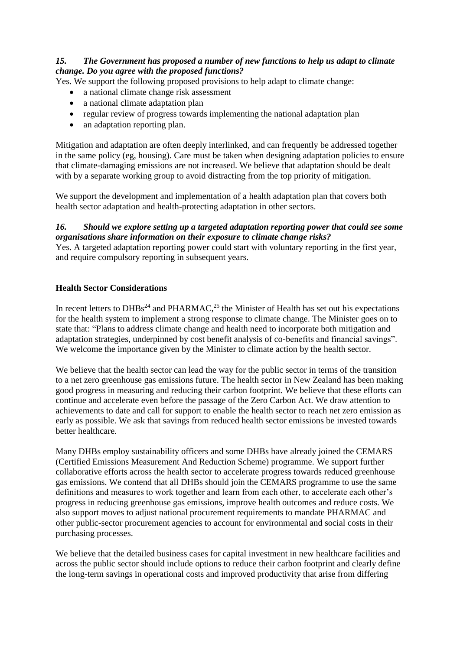#### *15. The Government has proposed a number of new functions to help us adapt to climate change. Do you agree with the proposed functions?*

Yes. We support the following proposed provisions to help adapt to climate change:

- a national climate change risk assessment
- a national climate adaptation plan
- regular review of progress towards implementing the national adaptation plan
- an adaptation reporting plan.

Mitigation and adaptation are often deeply interlinked, and can frequently be addressed together in the same policy (eg, housing). Care must be taken when designing adaptation policies to ensure that climate-damaging emissions are not increased. We believe that adaptation should be dealt with by a separate working group to avoid distracting from the top priority of mitigation.

We support the development and implementation of a health adaptation plan that covers both health sector adaptation and health-protecting adaptation in other sectors.

#### *16. Should we explore setting up a targeted adaptation reporting power that could see some organisations share information on their exposure to climate change risks?*

Yes. A targeted adaptation reporting power could start with voluntary reporting in the first year, and require compulsory reporting in subsequent years.

#### **Health Sector Considerations**

In recent letters to DHBs<sup>24</sup> and PHARMAC,<sup>25</sup> the Minister of Health has set out his expectations for the health system to implement a strong response to climate change. The Minister goes on to state that: "Plans to address climate change and health need to incorporate both mitigation and adaptation strategies, underpinned by cost benefit analysis of co-benefits and financial savings". We welcome the importance given by the Minister to climate action by the health sector.

We believe that the health sector can lead the way for the public sector in terms of the transition to a net zero greenhouse gas emissions future. The health sector in New Zealand has been making good progress in measuring and reducing their carbon footprint. We believe that these efforts can continue and accelerate even before the passage of the Zero Carbon Act. We draw attention to achievements to date and call for support to enable the health sector to reach net zero emission as early as possible. We ask that savings from reduced health sector emissions be invested towards better healthcare.

Many DHBs employ sustainability officers and some DHBs have already joined the CEMARS (Certified Emissions Measurement And Reduction Scheme) programme. We support further collaborative efforts across the health sector to accelerate progress towards reduced greenhouse gas emissions. We contend that all DHBs should join the CEMARS programme to use the same definitions and measures to work together and learn from each other, to accelerate each other's progress in reducing greenhouse gas emissions, improve health outcomes and reduce costs. We also support moves to adjust national procurement requirements to mandate PHARMAC and other public-sector procurement agencies to account for environmental and social costs in their purchasing processes.

We believe that the detailed business cases for capital investment in new healthcare facilities and across the public sector should include options to reduce their carbon footprint and clearly define the long-term savings in operational costs and improved productivity that arise from differing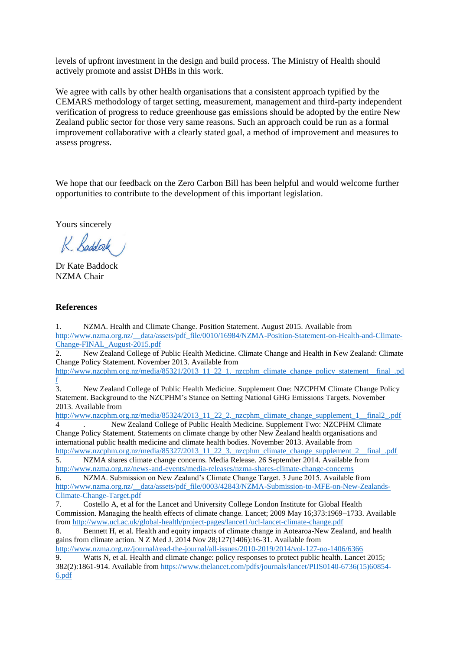levels of upfront investment in the design and build process. The Ministry of Health should actively promote and assist DHBs in this work.

We agree with calls by other health organisations that a consistent approach typified by the CEMARS methodology of target setting, measurement, management and third-party independent verification of progress to reduce greenhouse gas emissions should be adopted by the entire New Zealand public sector for those very same reasons. Such an approach could be run as a formal improvement collaborative with a clearly stated goal, a method of improvement and measures to assess progress.

We hope that our feedback on the Zero Carbon Bill has been helpful and would welcome further opportunities to contribute to the development of this important legislation.

Yours sincerely

K. Baddork

Dr Kate Baddock NZMA Chair

#### **References**

1. NZMA. Health and Climate Change. Position Statement. August 2015. Available from [http://www.nzma.org.nz/\\_\\_data/assets/pdf\\_file/0010/16984/NZMA-Position-Statement-on-Health-and-Climate-](http://www.nzma.org.nz/__data/assets/pdf_file/0010/16984/NZMA-Position-Statement-on-Health-and-Climate-Change-FINAL_August-2015.pdf)[Change-FINAL\\_August-2015.pdf](http://www.nzma.org.nz/__data/assets/pdf_file/0010/16984/NZMA-Position-Statement-on-Health-and-Climate-Change-FINAL_August-2015.pdf)

2. New Zealand College of Public Health Medicine. Climate Change and Health in New Zealand: Climate Change Policy Statement. November 2013. Available from

[http://www.nzcphm.org.nz/media/85321/2013\\_11\\_22\\_1.\\_nzcphm\\_climate\\_change\\_policy\\_statement\\_\\_final\\_.pd](http://www.nzcphm.org.nz/media/85321/2013_11_22_1._nzcphm_climate_change_policy_statement__final_.pdf) [f](http://www.nzcphm.org.nz/media/85321/2013_11_22_1._nzcphm_climate_change_policy_statement__final_.pdf) 

3. New Zealand College of Public Health Medicine. Supplement One: NZCPHM Climate Change Policy Statement. Background to the NZCPHM's Stance on Setting National GHG Emissions Targets. November 2013. Available from

[http://www.nzcphm.org.nz/media/85324/2013\\_11\\_22\\_2.\\_nzcphm\\_climate\\_change\\_supplement\\_1\\_\\_final2\\_.pdf](http://www.nzcphm.org.nz/media/85324/2013_11_22_2._nzcphm_climate_change_supplement_1__final2_.pdf)

4 . New Zealand College of Public Health Medicine. Supplement Two: NZCPHM Climate Change Policy Statement. Statements on climate change by other New Zealand health organisations and international public health medicine and climate health bodies. November 2013. Available from [http://www.nzcphm.org.nz/media/85327/2013\\_11\\_22\\_3.\\_nzcphm\\_climate\\_change\\_supplement\\_2\\_\\_final\\_.pdf](http://www.nzcphm.org.nz/media/85327/2013_11_22_3._nzcphm_climate_change_supplement_2__final_.pdf)

5. NZMA shares climate change concerns. Media Release. 26 September 2014. Available from <http://www.nzma.org.nz/news-and-events/media-releases/nzma-shares-climate-change-concerns>

6. NZMA. Submission on New Zealand's Climate Change Target. 3 June 2015. Available from [http://www.nzma.org.nz/\\_\\_data/assets/pdf\\_file/0003/42843/NZMA-Submission-to-MFE-on-New-Zealands-](http://www.nzma.org.nz/__data/assets/pdf_file/0003/42843/NZMA-Submission-to-MFE-on-New-Zealands-Climate-Change-Target.pdf)[Climate-Change-Target.pdf](http://www.nzma.org.nz/__data/assets/pdf_file/0003/42843/NZMA-Submission-to-MFE-on-New-Zealands-Climate-Change-Target.pdf)

7. Costello A, et al for the Lancet and University College London Institute for Global Health Commission. Managing the health effects of climate change. Lancet; 2009 May 16;373:1969–1733. Available from<http://www.ucl.ac.uk/global-health/project-pages/lancet1/ucl-lancet-climate-change.pdf>

8. Bennett H, et al. Health and equity impacts of climate change in Aotearoa-New Zealand, and health gains from climate action. N Z Med J. 2014 Nov 28;127(1406):16-31. Available from

<http://www.nzma.org.nz/journal/read-the-journal/all-issues/2010-2019/2014/vol-127-no-1406/6366>

9. Watts N, et al. Health and climate change: policy responses to protect public health. Lancet 2015; 382(2):1861-914. Available from [https://www.thelancet.com/pdfs/journals/lancet/PIIS0140-6736\(15\)60854-](https://www.thelancet.com/pdfs/journals/lancet/PIIS0140-6736(15)60854-6.pdf) [6.pdf](https://www.thelancet.com/pdfs/journals/lancet/PIIS0140-6736(15)60854-6.pdf)